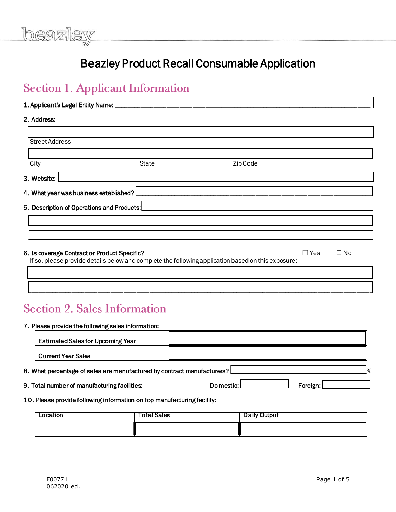### Beazley Product Recall Consumable Application

### 1. Applicant's Legal Entity Name: \_\_\_\_\_\_\_\_\_\_\_\_\_\_\_\_\_\_\_\_\_\_\_\_\_\_\_\_\_\_\_\_\_\_\_\_\_\_\_\_\_\_\_\_\_\_\_\_\_\_\_\_\_\_\_\_\_\_\_\_\_\_\_\_\_\_\_\_\_\_\_\_\_\_\_\_\_\_\_

### 2. Address:

| <b>Street Address</b>                        |                                                                                                    |          |       |              |
|----------------------------------------------|----------------------------------------------------------------------------------------------------|----------|-------|--------------|
| City                                         | <b>State</b>                                                                                       | Zip Code |       |              |
| 3. Website:                                  |                                                                                                    |          |       |              |
| 4. What year was business established?       |                                                                                                    |          |       |              |
| 5. Description of Operations and Products:   |                                                                                                    |          |       |              |
|                                              |                                                                                                    |          |       |              |
|                                              |                                                                                                    |          |       |              |
| 6. Is coverage Contract or Product Specific? | If so, please provide details below and complete the following application based on this exposure: |          | ∃ Yes | $\square$ No |

### **Section 2. Sales Information**

### 7. Please provide the following sales information:

| <b>Estimated Sales for Upcoming Year</b>                                  |                         |
|---------------------------------------------------------------------------|-------------------------|
| <b>Current Year Sales</b>                                                 |                         |
| 8. What percentage of sales are manufactured by contract manufacturers? [ | 9/2                     |
| 9. Total number of manufacturing facilities:                              | Domestic: L<br>Foreign: |
| 10. Please provide following information on top manufacturing facility:   |                         |

\_\_\_\_\_\_\_\_\_\_\_\_\_\_\_\_\_\_\_\_\_\_\_\_\_\_\_\_\_\_\_\_\_\_\_\_\_\_\_\_\_\_\_\_\_\_\_\_\_\_\_\_\_\_\_\_\_\_\_\_\_\_\_\_\_\_\_\_\_\_\_\_\_\_\_\_\_\_\_\_\_\_\_\_\_\_\_\_\_\_\_\_\_\_\_\_\_\_\_\_\_\_\_\_\_\_

| Location | Total Sales | Daily Output |
|----------|-------------|--------------|
|          |             |              |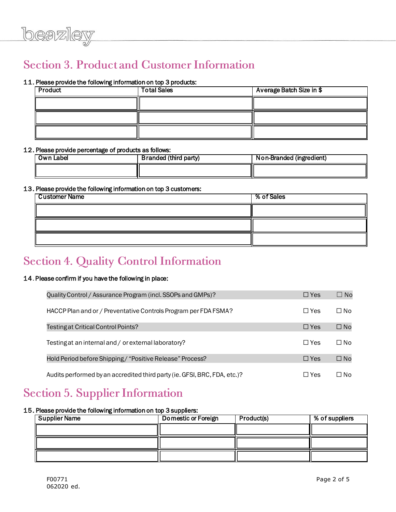## **Section 3. Product and Customer Information**

### 11. Please provide the following information on top 3 products:

| Product | <b>Total Sales</b> | Average Batch Size in \$ |
|---------|--------------------|--------------------------|
|         |                    |                          |
|         |                    |                          |
|         |                    |                          |

### 12. Please provide percentage of products as follows:

| Own Label | <b>Branded (third party)</b> | Non-Branded (ingredient) |
|-----------|------------------------------|--------------------------|
|           |                              |                          |

### 13. Please provide the following information on top 3 customers:

| <b>Customer Name</b> | % of Sales |
|----------------------|------------|
|                      |            |
|                      |            |
|                      |            |

### **Section 4. Quality Control Information**

### 14. Please confirm if you have the following in place:

| Quality Control / Assurance Program (incl. SSOPs and GMPs)?               | $\Box$ Yes | $\Box$ No    |
|---------------------------------------------------------------------------|------------|--------------|
| HACCP Plan and or / Preventative Controls Program per FDA FSMA?           | $\Box$ Yes | $\square$ No |
| Testing at Critical Control Points?                                       | $\Box$ Yes | $\square$ No |
| Testing at an internal and / or external laboratory?                      | $\Box$ Yes | $\Box$ No    |
| Hold Period before Shipping / "Positive Release" Process?                 | $\Box$ Yes | $\square$ No |
| Audits performed by an accredited third party (ie. GFSI, BRC, FDA, etc.)? | □ Yes      | ∩ No         |

### **Section 5. Supplier Information**

#### 15. Please provide the following information on top 3 suppliers:

| <b>Supplier Name</b> | Domestic or Foreign | Product(s) | % of suppliers |
|----------------------|---------------------|------------|----------------|
|                      |                     |            |                |
|                      |                     |            |                |
|                      |                     |            |                |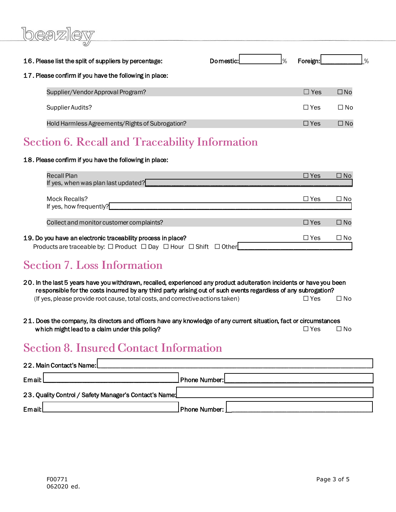# beazler

| 16. Please list the split of suppliers by percentage:  | Domestic: | $\frac{1}{6}$ | Foreign:   |              | $\%$ |
|--------------------------------------------------------|-----------|---------------|------------|--------------|------|
| 17. Please confirm if you have the following in place: |           |               |            |              |      |
| Supplier/Vendor Approval Program?                      |           |               | $\Box$ Yes | $\square$ No |      |
| Supplier Audits?                                       |           |               | □ Yes      | $\Box$ No    |      |
| Hold Harmless Agreements/Rights of Subrogation?        |           |               | $\Box$ Yes | $\Box$ No    |      |

### **Section 6. Recall and Traceability Information**

### 18. Please confirm if you have the following in place:

| Recall Plan<br>If yes, when was plan last updated?                                                                                                         | $\Box$ Yes | $\square$ No |
|------------------------------------------------------------------------------------------------------------------------------------------------------------|------------|--------------|
| Mock Recalls?<br>If yes, how frequently?                                                                                                                   | $\Box$ Yes | $\square$ No |
| Collect and monitor customer complaints?                                                                                                                   | $\Box$ Yes | $\square$ No |
| 19. Do you have an electronic traceability process in place?<br>Products are traceable by: $\Box$ Product $\Box$ Day $\Box$ Hour $\Box$ Shift $\Box$ Other | $\Box$ Yes | $\Box$ No    |

### **Section 7. Loss Information**

- 20. In the last 5 years have you withdrawn, recalled, experienced any product adulteration incidents or have you been responsible for the costs incurred by any third party arising out of such events regardless of any subrogation? (If yes, please provide root cause, total costs, and corrective actions taken)  $□$  Yes  $□$  No
- 21. Does the company, its directors and officers have any knowledge of any current situation, fact or circumstances which might lead to a claim under this policy?  $\Box$  Yes  $\Box$  No

### **Section 8. Insured Contact Information**

| 22. Main Contact's Name:                               |                 |  |  |
|--------------------------------------------------------|-----------------|--|--|
| Email: l                                               | Phone Number:   |  |  |
| 23. Quality Control / Safety Manager's Contact's Name: |                 |  |  |
| Email:                                                 | Phone Number: ] |  |  |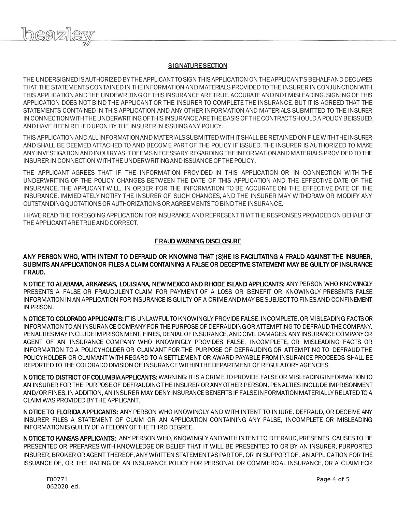

#### **SIGNATURE SECTION**

THE UNDERSIGNED IS AUTHORIZED BY THE APPLICANT TO SIGN THIS APPLICATION ON THE APPLICANT'S BEHALF AND DECLARES THAT THE STATEMENTS CONTAINED IN THE INFORMATION AND MATERIALS PROVIDED TO THE INSURER IN CONJUNCTION WITH THIS APPLICATION AND THE UNDEWRITING OF THIS INSURANCE ARE TRUE, ACCURATE AND NOT MISLEADING. SIGNING OF THIS APPLICATION DOES NOT BIND THE APPLICANT OR THE INSURER TO COMPLETE THE INSURANCE, BUT IT IS AGREED THAT THE STATEMENTS CONTAINED IN THIS APPLICATION AND ANY OTHER INFORMATION AND MATERIALS SUBMITTED TO THE INSURER IN CONNECTION WITH THE UNDERWRITING OF THIS INSURANCE ARE THE BASIS OF THE CONTRACT SHOULD A POLICY BE ISSUED, AND HAVE BEEN RELIED UPON BY THE INSURER IN ISSUING ANY POLICY.

THIS APPLICATION AND ALL INFORMATION AND MATERIALS SUBMITTED WITH IT SHALL BE RETAINED ON FILE WITH THE INSURER AND SHALL BE DEEMED ATTACHED TO AND BECOME PART OF THE POLICY IF ISSUED. THE INSURER IS AUTHORIZED TO MAKE ANY INVESTIGATION AND INQUIRY AS IT DEEMS NECESSARY REGARDING THE INFORMATION AND MATERIALS PROVIDED TO THE INSURER IN CONNECTION WITH THE UNDERWRITING AND ISSUANCE OF THE POLICY.

THE APPLICANT AGREES THAT IF THE INFORMATION PROVIDED IN THIS APPLICATION OR IN CONNECTION WITH THE UNDERWRITING OF THE POLICY CHANGES BETWEEN THE DATE OF THIS APPLICATION AND THE EFFECTIVE DATE OF THE INSURANCE, THE APPLICANT WILL, IN ORDER FOR THE INFORMATION TO BE ACCURATE ON THE EFFECTIVE DATE OF THE INSURANCE, IMMEDIATELY NOTIFY THE INSURER OF SUCH CHANGES, AND THE INSURER MAY WITHDRAW OR MODIFY ANY OUTSTANDING QUOTATIONS OR AUTHORIZATIONS OR AGREEMENTS TO BIND THE INSURANCE.

I HAVE READ THE FOREGOING APPLICATION FOR INSURANCE AND REPRESENT THAT THE RESPONSES PROVIDED ON BEHALF OF THE APPLICANT ARE TRUE AND CORRECT.

### FRAUD WARNING DISCLOSURE

### ANY PERSON WHO, WITH INTENT TO DEFRAUD OR KNOWING THAT (S)HE IS FACILITATING A FRAUD AGAINST THE INSURER, SUBMITS AN APPLICATION OR FILES A CLAIM CONTAINING A FALSE OR DECEPTIVE STATEMENT MAY BE GUILTY OF INSURANCE FRAUD.

NOTICE TO ALABAMA, ARKANSAS, LOUISIANA, NEW MEXICO AND RHODE ISLAND APPLICANTS: ANY PERSON WHO KNOWINGLY PRESENTS A FALSE OR FRAUDULENT CLAIM FOR PAYMENT OF A LOSS OR BENEFIT OR KNOWINGLY PRESENTS FALSE INFORMATION IN AN APPLICATION FOR INSURANCE IS GUILTY OF A CRIME AND MAY BE SUBJECT TO FINES AND CONFINEMENT IN PRISON.

NOTICE TO COLORADO APPLICANTS: IT IS UNLAWFUL TO KNOWINGLY PROVIDE FALSE, INCOMPLETE, OR MISLEADING FACTS OR INFORMATION TO AN INSURANCE COMPANY FOR THE PURPOSE OF DEFRAUDING OR ATTEMPTING TO DEFRAUD THE COMPANY. PENALTIES MAY INCLUDE IMPRISONMENT, FINES, DENIAL OF INSURANCE, AND CIVIL DAMAGES. ANY INSURANCE COMPANY OR AGENT OF AN INSURANCE COMPANY WHO KNOWINGLY PROVIDES FALSE, INCOMPLETE, OR MISLEADING FACTS OR INFORMATION TO A POLICYHOLDER OR CLAIMANT FOR THE PURPOSE OF DEFRAUDING OR ATTEMPTING TO DEFRAUD THE POLICYHOLDER OR CLAIMANT WITH REGARD TO A SETTLEMENT OR AWARD PAYABLE FROM INSURANCE PROCEEDS SHALL BE REPORTED TO THE COLORADO DIVISION OF INSURANCE WITHIN THE DEPARTMENT OF REGULATORY AGENCIES.

NOTICE TO DISTRICT OF COLUMBIA APPLICANTS: WARNING: IT IS A CRIME TO PROVIDE FALSE OR MISLEADING INFORMATION TO AN INSURER FOR THE PURPOSE OF DEFRAUDING THE INSURER OR ANY OTHER PERSON. PENALTIES INCLUDE IMPRISONMENT AND/OR FINES. IN ADDITION, AN INSURER MAY DENY INSURANCE BENEFITS IF FALSE INFORMATION MATERIALLY RELATED TO A CLAIM WAS PROVIDED BY THE APPLICANT.

NOTICE TO FLORIDA APPLICANTS: ANY PERSON WHO KNOWINGLY AND WITH INTENT TO INJURE, DEFRAUD, OR DECEIVE ANY INSURER FILES A STATEMENT OF CLAIM OR AN APPLICATION CONTAINING ANY FALSE, INCOMPLETE OR MISLEADING INFORMATION IS GUILTY OF A FELONY OF THE THIRD DEGREE.

NOTICE TO KANSAS APPLICANTS: ANY PERSON WHO, KNOWINGLY AND WITH INTENT TO DEFRAUD, PRESENTS, CAUSES TO BE PRESENTED OR PREPARES WITH KNOWLEDGE OR BELIEF THAT IT WILL BE PRESENTED TO OR BY AN INSURER, PURPORTED INSURER, BROKER OR AGENT THEREOF, ANY WRITTEN STATEMENT AS PART OF, OR IN SUPPORT OF, AN APPLICATION FOR THE ISSUANCE OF, OR THE RATING OF AN INSURANCE POLICY FOR PERSONAL OR COMMERCIAL INSURANCE, OR A CLAIM FOR